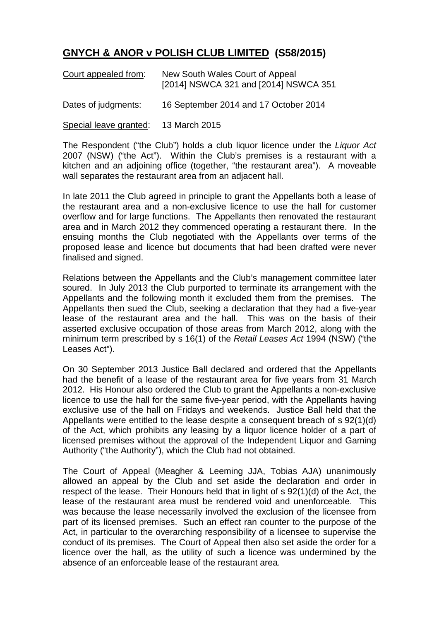## **GNYCH & ANOR v POLISH CLUB LIMITED (S58/2015)**

| Court appealed from:   | New South Wales Court of Appeal<br>[2014] NSWCA 321 and [2014] NSWCA 351 |
|------------------------|--------------------------------------------------------------------------|
| Dates of judgments:    | 16 September 2014 and 17 October 2014                                    |
| Special leave granted: | 13 March 2015                                                            |

The Respondent ("the Club") holds a club liquor licence under the *Liquor Act* 2007 (NSW) ("the Act"). Within the Club's premises is a restaurant with a kitchen and an adjoining office (together, "the restaurant area"). A moveable wall separates the restaurant area from an adjacent hall.

In late 2011 the Club agreed in principle to grant the Appellants both a lease of the restaurant area and a non-exclusive licence to use the hall for customer overflow and for large functions. The Appellants then renovated the restaurant area and in March 2012 they commenced operating a restaurant there. In the ensuing months the Club negotiated with the Appellants over terms of the proposed lease and licence but documents that had been drafted were never finalised and signed.

Relations between the Appellants and the Club's management committee later soured. In July 2013 the Club purported to terminate its arrangement with the Appellants and the following month it excluded them from the premises. The Appellants then sued the Club, seeking a declaration that they had a five-year lease of the restaurant area and the hall. This was on the basis of their asserted exclusive occupation of those areas from March 2012, along with the minimum term prescribed by s 16(1) of the *Retail Leases Act* 1994 (NSW) ("the Leases Act").

On 30 September 2013 Justice Ball declared and ordered that the Appellants had the benefit of a lease of the restaurant area for five years from 31 March 2012. His Honour also ordered the Club to grant the Appellants a non-exclusive licence to use the hall for the same five-year period, with the Appellants having exclusive use of the hall on Fridays and weekends. Justice Ball held that the Appellants were entitled to the lease despite a consequent breach of s 92(1)(d) of the Act, which prohibits any leasing by a liquor licence holder of a part of licensed premises without the approval of the Independent Liquor and Gaming Authority ("the Authority"), which the Club had not obtained.

The Court of Appeal (Meagher & Leeming JJA, Tobias AJA) unanimously allowed an appeal by the Club and set aside the declaration and order in respect of the lease. Their Honours held that in light of s 92(1)(d) of the Act, the lease of the restaurant area must be rendered void and unenforceable. This was because the lease necessarily involved the exclusion of the licensee from part of its licensed premises. Such an effect ran counter to the purpose of the Act, in particular to the overarching responsibility of a licensee to supervise the conduct of its premises. The Court of Appeal then also set aside the order for a licence over the hall, as the utility of such a licence was undermined by the absence of an enforceable lease of the restaurant area.